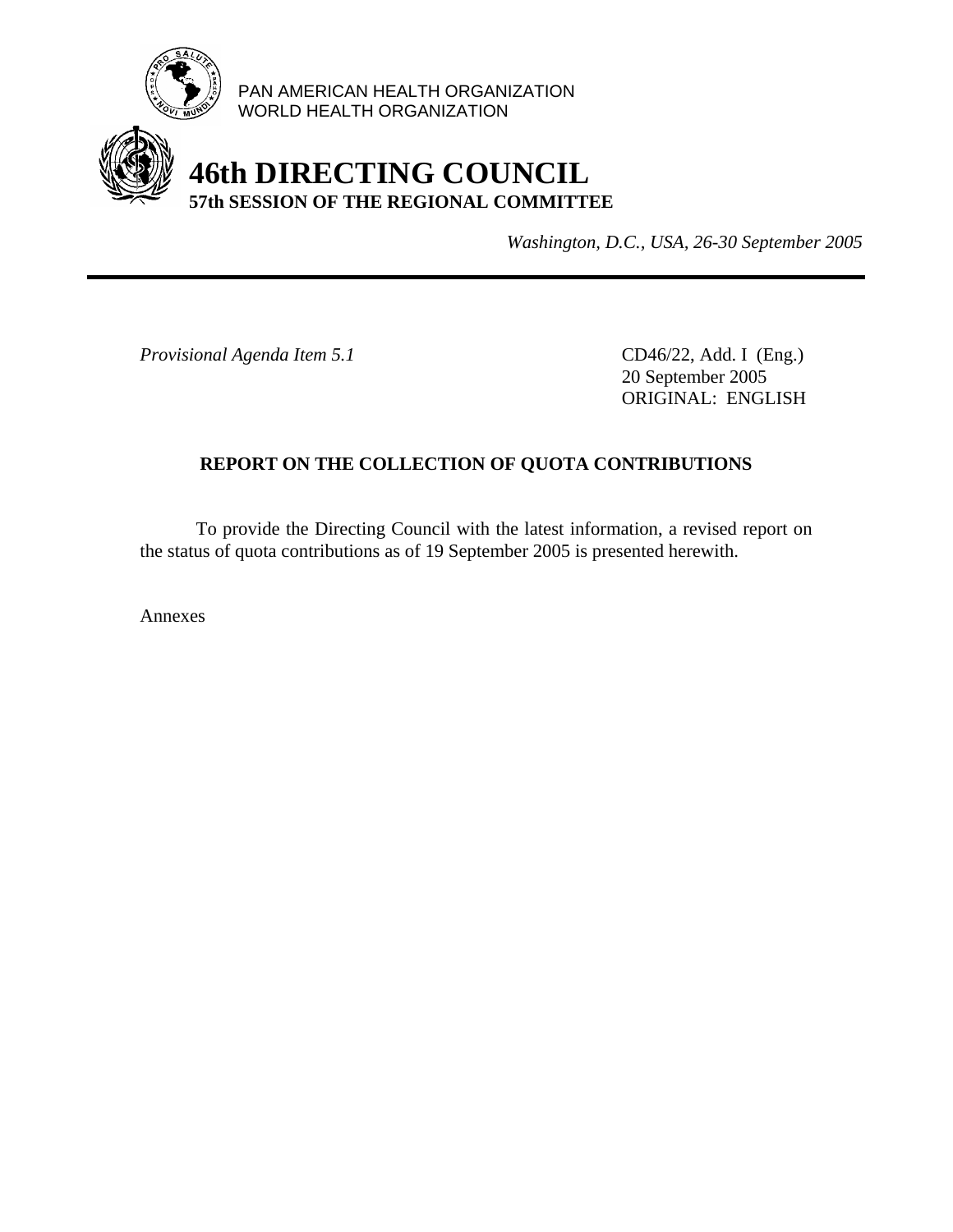

PAN AMERICAN HEALTH ORGANIZATION WORLD HEALTH ORGANIZATION

# **46th DIRECTING COUNCIL 57th SESSION OF THE REGIONAL COMMITTEE**

*Washington, D.C., USA, 26-30 September 2005*

*Provisional Agenda Item 5.1* CD46/22, Add. I (Eng.)

 20 September 2005 ORIGINAL: ENGLISH

# **REPORT ON THE COLLECTION OF QUOTA CONTRIBUTIONS**

 To provide the Directing Council with the latest information, a revised report on the status of quota contributions as of 19 September 2005 is presented herewith.

Annexes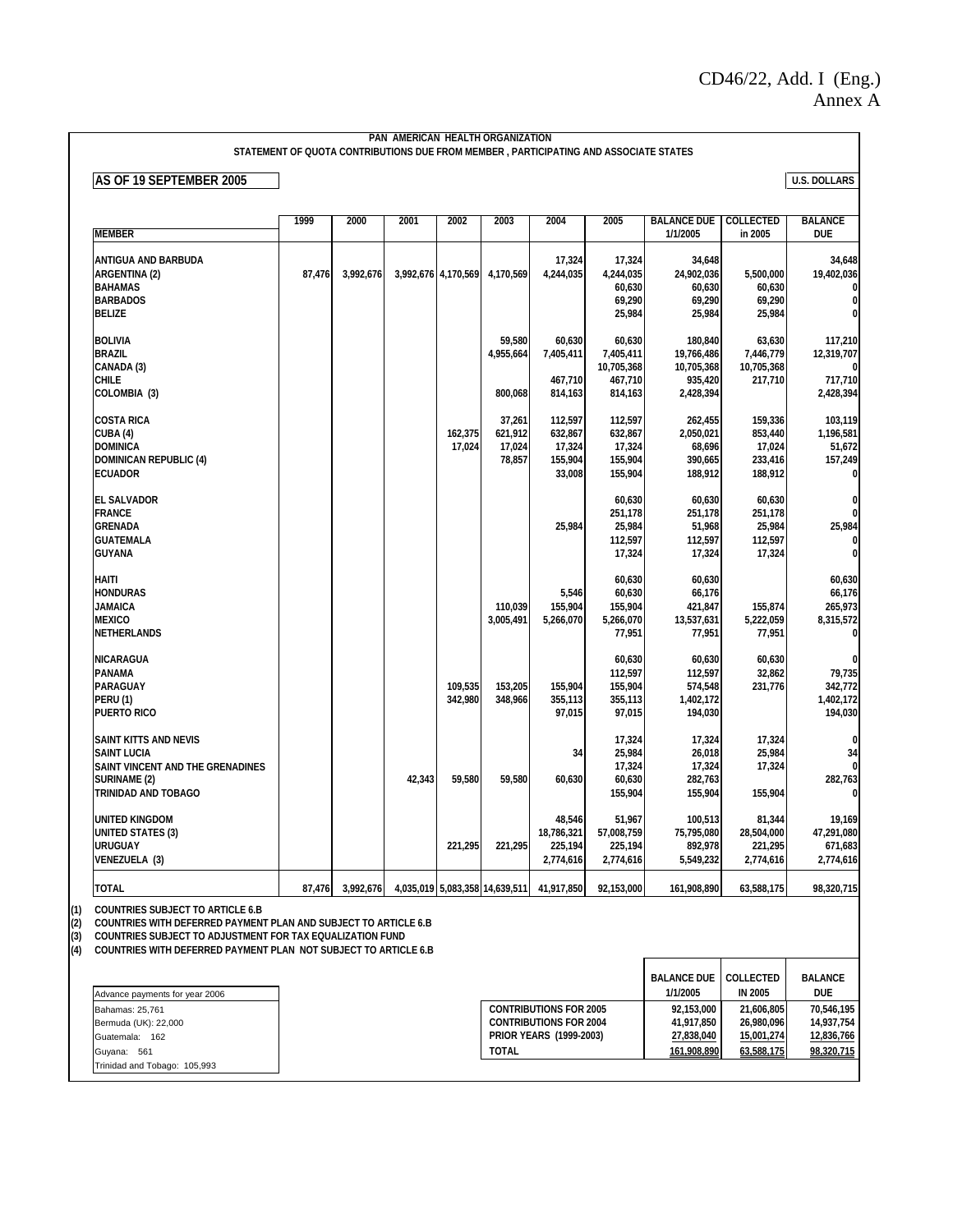#### **PAN AMERICAN HEALTH ORGANIZATION STATEMENT OF QUOTA CONTRIBUTIONS DUE FROM MEMBER , PARTICIPATING AND ASSOCIATE STATES**

**AS OF 19 SEPTEMBER 2005** U.S. DOLLARS

| <b>MEMBER</b>                                                                                                                               | 1999   | 2000      | 2001   | 2002                | 2003                                  | 2004                                              | 2005                                                    | <b>BALANCE DUE</b><br>1/1/2005                              | <b>COLLECTED</b><br>in 2005                        | <b>BALANCE</b><br><b>DUE</b>                                              |
|---------------------------------------------------------------------------------------------------------------------------------------------|--------|-----------|--------|---------------------|---------------------------------------|---------------------------------------------------|---------------------------------------------------------|-------------------------------------------------------------|----------------------------------------------------|---------------------------------------------------------------------------|
| ANTIGUA AND BARBUDA<br><b>ARGENTINA (2)</b><br><b>BAHAMAS</b><br><b>BARBADOS</b><br><b>BELIZE</b>                                           | 87,476 | 3,992,676 |        | 3,992,676 4,170,569 | 4,170,569                             | 17,324<br>4,244,035                               | 17,324<br>4,244,035<br>60,630<br>69,290<br>25,984       | 34,648<br>24,902,036<br>60,630<br>69,290<br>25,984          | 5,500,000<br>60,630<br>69,290<br>25,984            | 34,648<br>19,402,036<br>$\bf{0}$<br>$\bf{0}$                              |
| <b>BOLIVIA</b><br><b>BRAZIL</b><br>CANADA (3)<br><b>CHILE</b><br>COLOMBIA (3)                                                               |        |           |        |                     | 59,580<br>4,955,664<br>800,068        | 60,630<br>7,405,411<br>467,710<br>814,163         | 60,630<br>7,405,411<br>10,705,368<br>467,710<br>814,163 | 180,840<br>19,766,486<br>10,705,368<br>935,420<br>2,428,394 | 63,630<br>7,446,779<br>10.705.368<br>217,710       | 117,210<br>12,319,707<br>$\boldsymbol{0}$<br>717,710<br>2,428,394         |
| <b>COSTA RICA</b><br>CUBA (4)<br><b>DOMINICA</b><br><b>DOMINICAN REPUBLIC (4)</b><br><b>ECUADOR</b>                                         |        |           |        | 162,375<br>17,024   | 37,261<br>621,912<br>17,024<br>78,857 | 112,597<br>632,867<br>17,324<br>155,904<br>33,008 | 112,597<br>632,867<br>17,324<br>155,904<br>155,904      | 262,455<br>2,050,021<br>68,696<br>390,665<br>188,912        | 159,336<br>853,440<br>17,024<br>233,416<br>188,912 | 103,119<br>1,196,581<br>51,672<br>157,249<br>0                            |
| <b>EL SALVADOR</b><br><b>FRANCE</b><br><b>GRENADA</b><br><b>GUATEMALA</b><br><b>GUYANA</b>                                                  |        |           |        |                     |                                       | 25,984                                            | 60,630<br>251,178<br>25,984<br>112,597<br>17,324        | 60,630<br>251,178<br>51,968<br>112,597<br>17,324            | 60,630<br>251,178<br>25,984<br>112,597<br>17,324   | $\bf{0}$<br>$\mathbf{0}$<br>25,984<br>$\bf{0}$                            |
| <b>HAITI</b><br><b>HONDURAS</b><br><b>JAMAICA</b><br><b>MEXICO</b><br>NETHERLANDS                                                           |        |           |        |                     | 110,039<br>3,005,491                  | 5,546<br>155.904<br>5,266,070                     | 60,630<br>60,630<br>155,904<br>5,266,070<br>77,951      | 60,630<br>66,176<br>421,847<br>13,537,631<br>77,951         | 155.874<br>5,222,059<br>77,951                     | 60,630<br>66,176<br>265,973<br>8,315,572<br>0                             |
| <b>NICARAGUA</b><br><b>PANAMA</b><br>PARAGUAY<br><b>PERU (1)</b><br><b>PUERTO RICO</b>                                                      |        |           |        | 109,535<br>342,980  | 153,205<br>348,966                    | 155,904<br>355,113<br>97,015                      | 60,630<br>112,597<br>155,904<br>355,113<br>97,015       | 60,630<br>112,597<br>574,548<br>1,402,172<br>194,030        | 60,630<br>32,862<br>231,776                        | $\mathbf{0}$<br>79,735<br>342,772<br>1,402,172<br>194,030                 |
| <b>SAINT KITTS AND NEVIS</b><br><b>SAINT LUCIA</b><br>SAINT VINCENT AND THE GRENADINES<br><b>SURINAME (2)</b><br><b>TRINIDAD AND TOBAGO</b> |        |           | 42,343 | 59,580              | 59,580                                | 34<br>60,630                                      | 17,324<br>25,984<br>17,324<br>60,630<br>155,904         | 17,324<br>26,018<br>17,324<br>282,763<br>155,904            | 17,324<br>25,984<br>17,324<br>155,904              | $\boldsymbol{0}$<br>34<br>$\boldsymbol{0}$<br>282,763<br>$\boldsymbol{0}$ |
| <b>UNITED KINGDOM</b><br><b>UNITED STATES (3)</b><br><b>URUGUAY</b><br>VENEZUELA (3)                                                        |        |           |        | 221,295             | 221,295                               | 48,546<br>18,786,321<br>225,194<br>2,774,616      | 51,967<br>57,008,759<br>225,194<br>2,774,616            | 100,513<br>75,795,080<br>892,978<br>5,549,232               | 81,344<br>28,504,000<br>221,295<br>2,774,616       | 19,169<br>47,291,080<br>671,683<br>2,774,616                              |
| <b>TOTAL</b>                                                                                                                                | 87,476 | 3,992,676 |        |                     | 4,035,019 5,083,358 14,639,511        | 41,917,850                                        | 92,153,000                                              | 161,908,890                                                 | 63,588,175                                         | 98,320,715                                                                |

(1) COUNTRIES SUBJECT TO ARTICLE 6.B<br>(2) COUNTRIES WITH DEFERRED PAYMENT<br>(3) COUNTRIES SUBJECT TO ADJUSTMENT<br>(4) COUNTRIES WITH DEFERRED PAYMENT

**(2) COUNTRIES WITH DEFERRED PAYMENT PLAN AND SUBJECT TO ARTICLE 6.B**

**(3) COUNTRIES SUBJECT TO ADJUSTMENT FOR TAX EQUALIZATION FUND**

**(4) COUNTRIES WITH DEFERRED PAYMENT PLAN NOT SUBJECT TO ARTICLE 6.B**

|                                |                                | <b>BALANCE DUE</b> | <b>COLLECTED</b> | <b>BALANCE</b> |
|--------------------------------|--------------------------------|--------------------|------------------|----------------|
| Advance payments for year 2006 |                                | 1/1/2005           | <b>IN 2005</b>   | <b>DUE</b>     |
| Bahamas: 25.761                | <b>CONTRIBUTIONS FOR 2005</b>  | 92.153.000         | 21.606.805       | 70.546.195     |
| Bermuda (UK): 22,000           | <b>CONTRIBUTIONS FOR 2004</b>  | 41.917.850         | 26.980.096       | 14.937.754     |
| Guatemala:<br>162              | <b>PRIOR YEARS (1999-2003)</b> | 27,838,040         | 15,001,274       | 12,836,766     |
| Guyana: 561                    | <b>TOTAL</b>                   | 161,908,890        | 63,588,175       | 98,320,715     |
| Trinidad and Tobago: 105,993   |                                |                    |                  |                |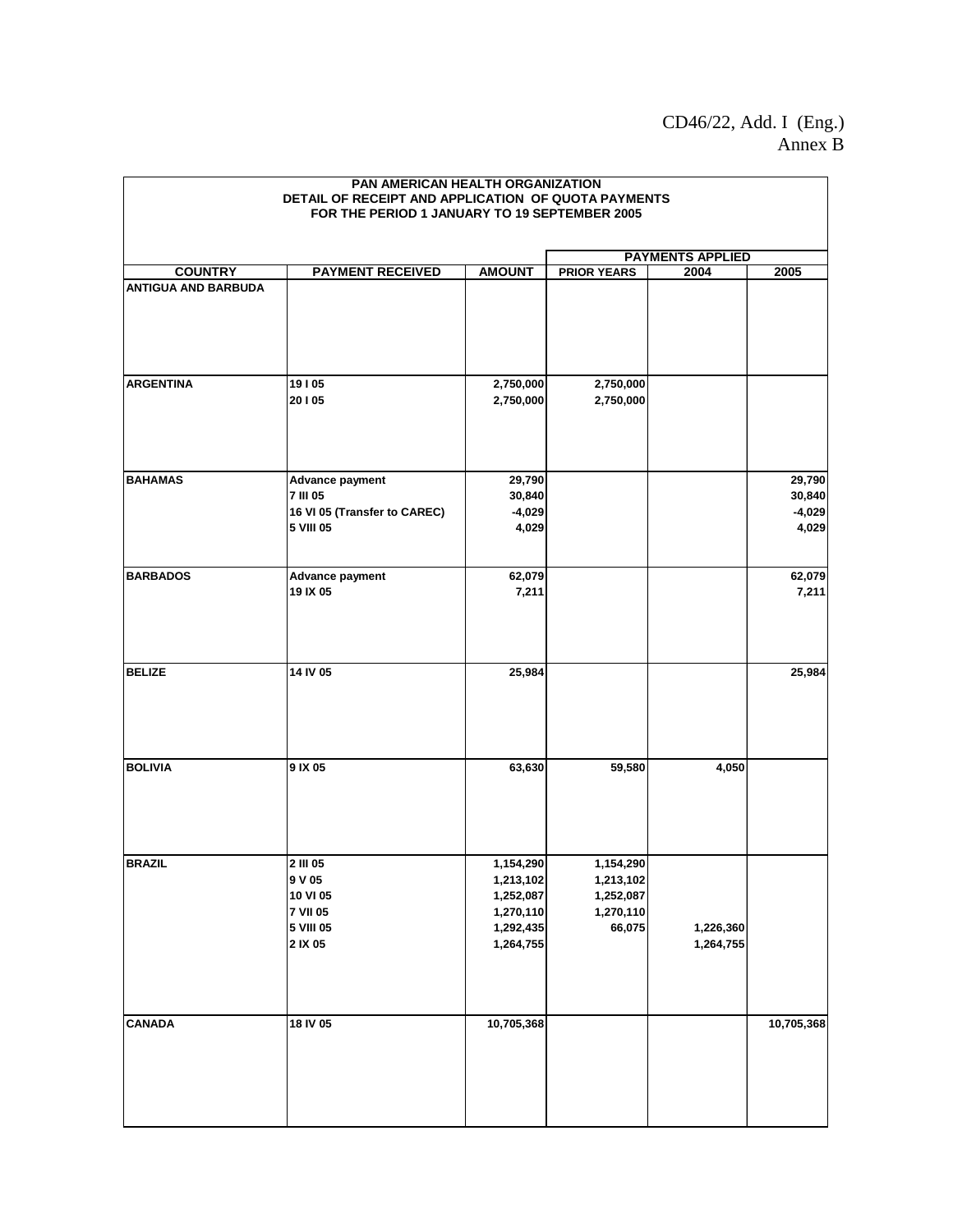## CD46/22, Add. I (Eng.) Annex B

|                            | PAN AMERICAN HEALTH ORGANIZATION<br>DETAIL OF RECEIPT AND APPLICATION OF QUOTA PAYMENTS<br>FOR THE PERIOD 1 JANUARY TO 19 SEPTEMBER 2005 |                                                                            |                                                            |                        |                                       |  |
|----------------------------|------------------------------------------------------------------------------------------------------------------------------------------|----------------------------------------------------------------------------|------------------------------------------------------------|------------------------|---------------------------------------|--|
| <b>PAYMENTS APPLIED</b>    |                                                                                                                                          |                                                                            |                                                            |                        |                                       |  |
| <b>COUNTRY</b>             | <b>PAYMENT RECEIVED</b>                                                                                                                  | <b>AMOUNT</b>                                                              | <b>PRIOR YEARS</b>                                         | 2004                   | 2005                                  |  |
| <b>ANTIGUA AND BARBUDA</b> |                                                                                                                                          |                                                                            |                                                            |                        |                                       |  |
| <b>ARGENTINA</b>           | 19105<br>20105                                                                                                                           | 2,750,000<br>2,750,000                                                     | 2,750,000<br>2,750,000                                     |                        |                                       |  |
| <b>BAHAMAS</b>             | <b>Advance payment</b><br><b>7 III 05</b><br>16 VI 05 (Transfer to CAREC)<br>5 VIII 05                                                   | 29,790<br>30,840<br>$-4,029$<br>4,029                                      |                                                            |                        | 29,790<br>30,840<br>$-4,029$<br>4,029 |  |
| <b>BARBADOS</b>            | <b>Advance payment</b><br>19 IX 05                                                                                                       | 62,079<br>7,211                                                            |                                                            |                        | 62,079<br>7,211                       |  |
| <b>BELIZE</b>              | 14 IV 05                                                                                                                                 | 25,984                                                                     |                                                            |                        | 25,984                                |  |
| <b>BOLIVIA</b>             | 9 IX 05                                                                                                                                  | 63,630                                                                     | 59,580                                                     | 4,050                  |                                       |  |
| <b>BRAZIL</b>              | 2 III 05<br>9 V 05<br>10 VI 05<br><b>7 VII 05</b><br>5 VIII 05<br>2 IX 05                                                                | 1,154,290<br>1,213,102<br>1,252,087<br>1,270,110<br>1,292,435<br>1,264,755 | 1,154,290<br>1,213,102<br>1,252,087<br>1,270,110<br>66,075 | 1,226,360<br>1,264,755 |                                       |  |
| <b>CANADA</b>              | 18 IV 05                                                                                                                                 | 10,705,368                                                                 |                                                            |                        | 10,705,368                            |  |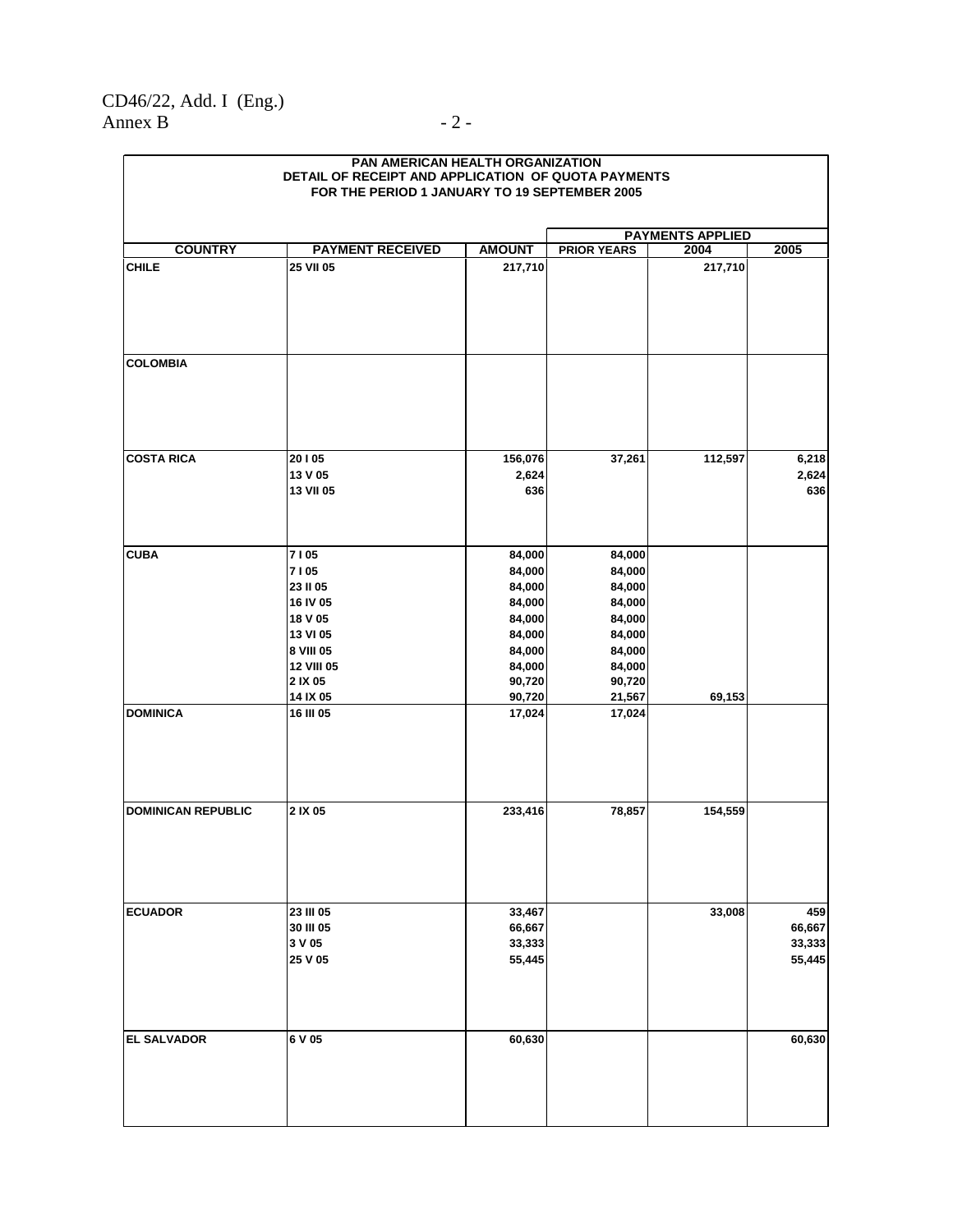### CD46/22, Add. I (Eng.) Annex B  $-2$  -

| PAN AMERICAN HEALTH ORGANIZATION<br>DETAIL OF RECEIPT AND APPLICATION OF QUOTA PAYMENTS<br>FOR THE PERIOD 1 JANUARY TO 19 SEPTEMBER 2005 |                                                       |                                      |                                      |                         |                                   |  |
|------------------------------------------------------------------------------------------------------------------------------------------|-------------------------------------------------------|--------------------------------------|--------------------------------------|-------------------------|-----------------------------------|--|
|                                                                                                                                          |                                                       |                                      |                                      |                         |                                   |  |
|                                                                                                                                          |                                                       |                                      |                                      | <b>PAYMENTS APPLIED</b> |                                   |  |
| <b>COUNTRY</b>                                                                                                                           | <b>PAYMENT RECEIVED</b>                               | <b>AMOUNT</b>                        | <b>PRIOR YEARS</b>                   | 2004                    | 2005                              |  |
| <b>CHILE</b>                                                                                                                             | 25 VII 05                                             | 217,710                              |                                      | 217,710                 |                                   |  |
| <b>COLOMBIA</b>                                                                                                                          |                                                       |                                      |                                      |                         |                                   |  |
| <b>COSTA RICA</b>                                                                                                                        | 20105<br>13 V 05<br>13 VII 05                         | 156,076<br>2,624<br>636              | 37,261                               | 112,597                 | 6,218<br>2,624<br>636             |  |
| <b>CUBA</b>                                                                                                                              | 7105                                                  | 84,000                               | 84,000                               |                         |                                   |  |
|                                                                                                                                          | 7105<br>23 II 05<br>16 IV 05<br>18 V 05               | 84,000<br>84,000<br>84,000<br>84,000 | 84,000<br>84,000<br>84,000<br>84,000 |                         |                                   |  |
|                                                                                                                                          | 13 VI 05<br>8 VIII 05<br><b>12 VIII 05</b><br>2 IX 05 | 84,000<br>84,000<br>84,000<br>90,720 | 84,000<br>84,000<br>84,000<br>90,720 |                         |                                   |  |
| <b>DOMINICA</b>                                                                                                                          | 14 IX 05<br>16 III 05                                 | 90,720<br>17,024                     | 21,567<br>17,024                     | 69,153                  |                                   |  |
|                                                                                                                                          |                                                       |                                      |                                      |                         |                                   |  |
| <b>DOMINICAN REPUBLIC</b>                                                                                                                | 2 IX 05                                               | 233,416                              | 78,857                               | 154,559                 |                                   |  |
| <b>ECUADOR</b>                                                                                                                           | 23 III 05<br>30 III 05<br>3 V 05<br>25 V 05           | 33,467<br>66,667<br>33,333<br>55,445 |                                      | 33,008                  | 459<br>66,667<br>33,333<br>55,445 |  |
| <b>EL SALVADOR</b>                                                                                                                       | 6 V 05                                                | 60,630                               |                                      |                         | 60,630                            |  |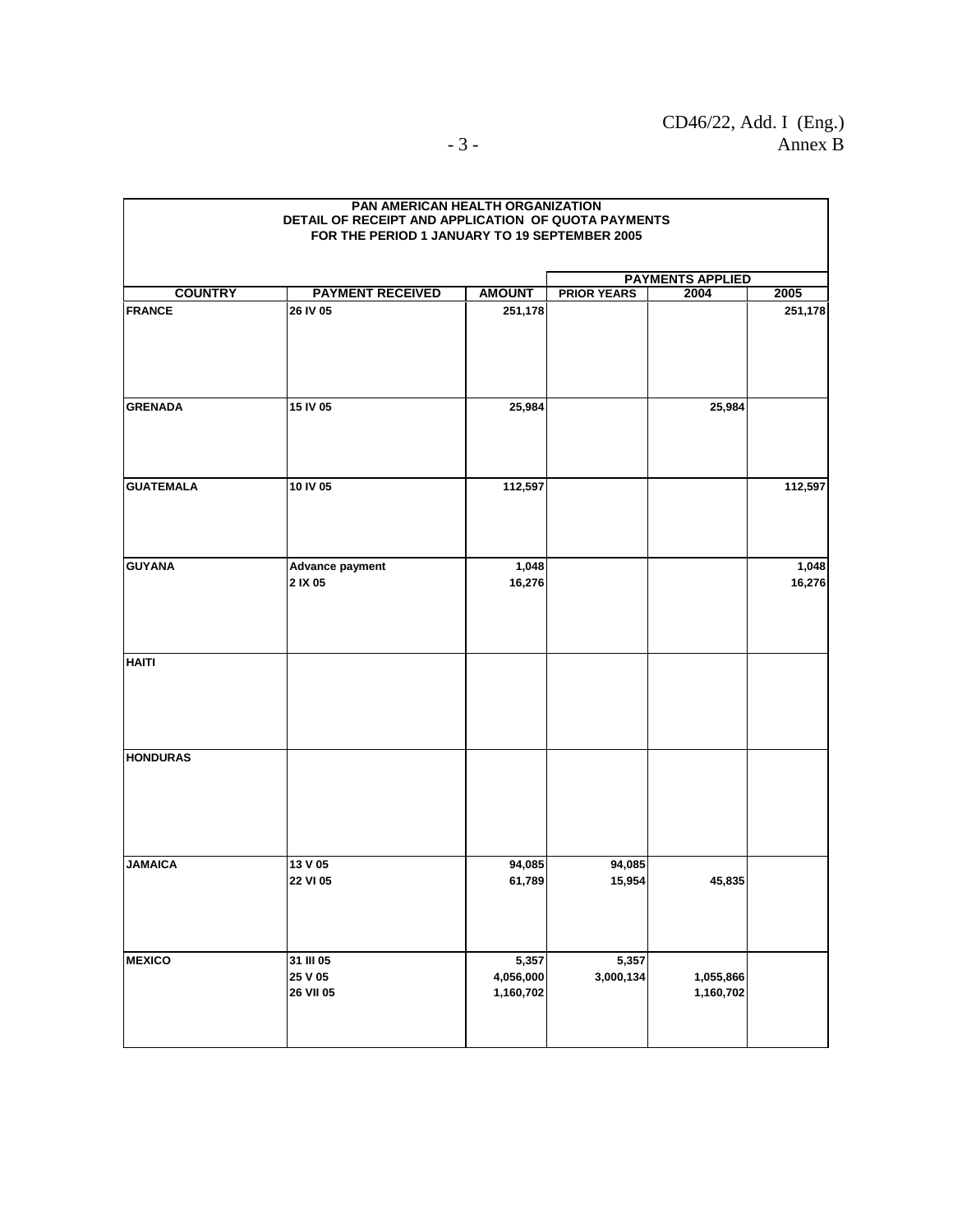|                                 | PAN AMERICAN HEALTH ORGANIZATION<br>DETAIL OF RECEIPT AND APPLICATION OF QUOTA PAYMENTS |                                 |                    |                         |                 |  |
|---------------------------------|-----------------------------------------------------------------------------------------|---------------------------------|--------------------|-------------------------|-----------------|--|
|                                 | FOR THE PERIOD 1 JANUARY TO 19 SEPTEMBER 2005                                           |                                 |                    |                         |                 |  |
|                                 |                                                                                         |                                 |                    |                         |                 |  |
|                                 |                                                                                         |                                 |                    | <b>PAYMENTS APPLIED</b> |                 |  |
| <b>COUNTRY</b><br><b>FRANCE</b> | <b>PAYMENT RECEIVED</b><br>26 IV 05                                                     | <b>AMOUNT</b><br>251,178        | <b>PRIOR YEARS</b> | 2004                    | 2005<br>251,178 |  |
|                                 |                                                                                         |                                 |                    |                         |                 |  |
| <b>GRENADA</b>                  | 15 IV 05                                                                                | 25,984                          |                    | 25,984                  |                 |  |
| <b>GUATEMALA</b>                | 10 IV 05                                                                                | 112,597                         |                    |                         | 112,597         |  |
| <b>GUYANA</b>                   | Advance payment<br>2 IX 05                                                              | 1,048<br>16,276                 |                    |                         | 1,048<br>16,276 |  |
| <b>HAITI</b>                    |                                                                                         |                                 |                    |                         |                 |  |
| <b>HONDURAS</b>                 |                                                                                         |                                 |                    |                         |                 |  |
| <b>JAMAICA</b>                  | 13 V 05<br>22 VI 05                                                                     | 94,085<br>61,789                | 94,085<br>15,954   | 45,835                  |                 |  |
| <b>MEXICO</b>                   | 31 III 05<br>25 V 05<br>26 VII 05                                                       | 5,357<br>4,056,000<br>1,160,702 | 5,357<br>3,000,134 | 1,055,866<br>1,160,702  |                 |  |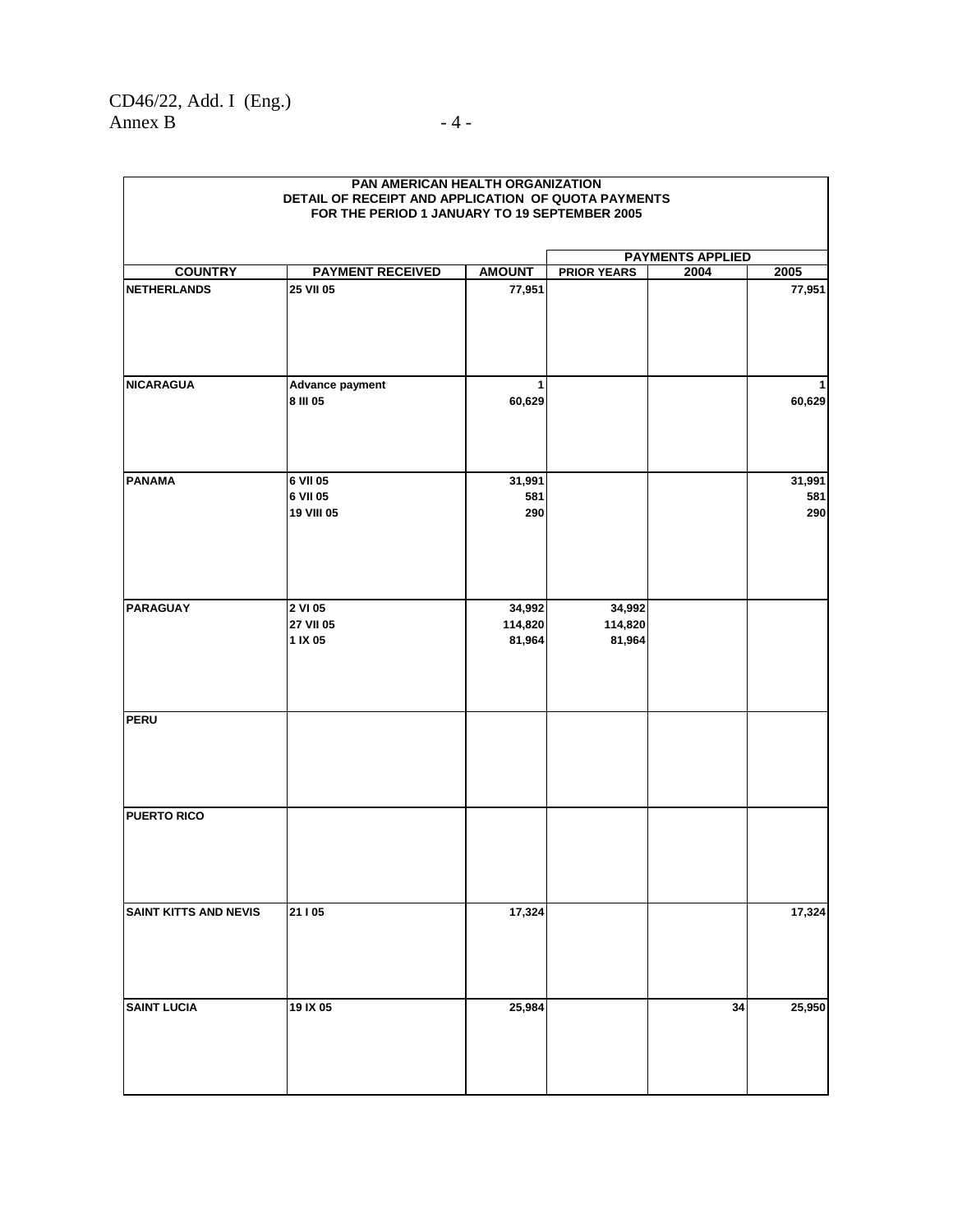| FOR THE PERIOD 1 JANUARY TO 19 SEPTEMBER 2005 |                                    |                             |                             |                         |                      |  |  |
|-----------------------------------------------|------------------------------------|-----------------------------|-----------------------------|-------------------------|----------------------|--|--|
|                                               |                                    |                             |                             | <b>PAYMENTS APPLIED</b> |                      |  |  |
| <b>COUNTRY</b>                                | <b>PAYMENT RECEIVED</b>            | <b>AMOUNT</b>               | <b>PRIOR YEARS</b>          | 2004                    | 2005                 |  |  |
| <b>NETHERLANDS</b>                            | 25 VII 05                          | 77,951                      |                             |                         | 77,951               |  |  |
| <b>NICARAGUA</b>                              | Advance payment<br>8 III 05        | 1<br>60,629                 |                             |                         | 60,629               |  |  |
| <b>PANAMA</b>                                 | 6 VII 05<br>6 VII 05<br>19 VIII 05 | 31,991<br>581<br>290        |                             |                         | 31,991<br>581<br>290 |  |  |
| <b>PARAGUAY</b>                               | 2 VI 05<br>27 VII 05<br>1 IX 05    | 34,992<br>114,820<br>81,964 | 34,992<br>114,820<br>81,964 |                         |                      |  |  |
| <b>PERU</b>                                   |                                    |                             |                             |                         |                      |  |  |
| <b>PUERTO RICO</b>                            |                                    |                             |                             |                         |                      |  |  |
| <b>SAINT KITTS AND NEVIS</b>                  | 21   05                            | 17,324                      |                             |                         | 17,324               |  |  |
| <b>SAINT LUCIA</b>                            | 19 IX 05                           | 25,984                      |                             | 34                      | 25,950               |  |  |